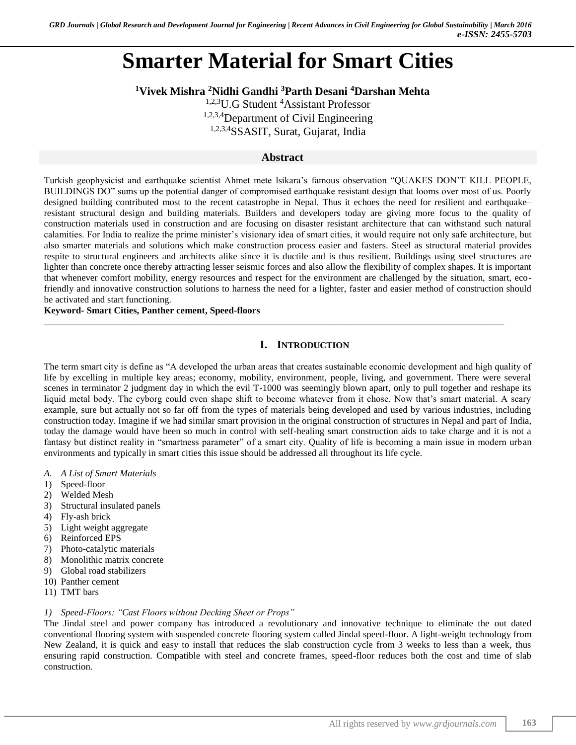# **Smarter Material for Smart Cities**

**<sup>1</sup>Vivek Mishra <sup>2</sup>Nidhi Gandhi <sup>3</sup>Parth Desani <sup>4</sup>Darshan Mehta**

<sup>1,2,3</sup>U.G Student <sup>4</sup>Assistant Professor 1,2,3,4Department of Civil Engineering

1,2,3,4SSASIT, Surat, Gujarat, India

## **Abstract**

Turkish geophysicist and earthquake scientist Ahmet mete lsikara's famous observation "QUAKES DON'T KILL PEOPLE, BUILDINGS DO" sums up the potential danger of compromised earthquake resistant design that looms over most of us. Poorly designed building contributed most to the recent catastrophe in Nepal. Thus it echoes the need for resilient and earthquake– resistant structural design and building materials. Builders and developers today are giving more focus to the quality of construction materials used in construction and are focusing on disaster resistant architecture that can withstand such natural calamities. For India to realize the prime minister's visionary idea of smart cities, it would require not only safe architecture, but also smarter materials and solutions which make construction process easier and fasters. Steel as structural material provides respite to structural engineers and architects alike since it is ductile and is thus resilient. Buildings using steel structures are lighter than concrete once thereby attracting lesser seismic forces and also allow the flexibility of complex shapes. It is important that whenever comfort mobility, energy resources and respect for the environment are challenged by the situation, smart, ecofriendly and innovative construction solutions to harness the need for a lighter, faster and easier method of construction should be activated and start functioning.

 $\_$  , and the set of the set of the set of the set of the set of the set of the set of the set of the set of the set of the set of the set of the set of the set of the set of the set of the set of the set of the set of th

**Keyword- Smart Cities, Panther cement, Speed-floors**

# **I. INTRODUCTION**

The term smart city is define as "A developed the urban areas that creates sustainable economic development and high quality of life by excelling in multiple key areas; economy, mobility, environment, people, living, and government. There were several scenes in terminator 2 judgment day in which the evil T-1000 was seemingly blown apart, only to pull together and reshape its liquid metal body. The cyborg could even shape shift to become whatever from it chose. Now that's smart material. A scary example, sure but actually not so far off from the types of materials being developed and used by various industries, including construction today. Imagine if we had similar smart provision in the original construction of structures in Nepal and part of India, today the damage would have been so much in control with self-healing smart construction aids to take charge and it is not a fantasy but distinct reality in "smartness parameter" of a smart city. Quality of life is becoming a main issue in modern urban environments and typically in smart cities this issue should be addressed all throughout its life cycle.

- *A. A List of Smart Materials*
- 1) Speed-floor
- 2) Welded Mesh
- 3) Structural insulated panels
- 4) Fly-ash brick
- 5) Light weight aggregate
- 6) Reinforced EPS
- 7) Photo-catalytic materials
- 8) Monolithic matrix concrete
- 9) Global road stabilizers
- 10) Panther cement
- 11) TMT bars

## *1) Speed-Floors: "Cast Floors without Decking Sheet or Props"*

The Jindal steel and power company has introduced a revolutionary and innovative technique to eliminate the out dated conventional flooring system with suspended concrete flooring system called Jindal speed-floor. A light-weight technology from New Zealand, it is quick and easy to install that reduces the slab construction cycle from 3 weeks to less than a week, thus ensuring rapid construction. Compatible with steel and concrete frames, speed-floor reduces both the cost and time of slab construction.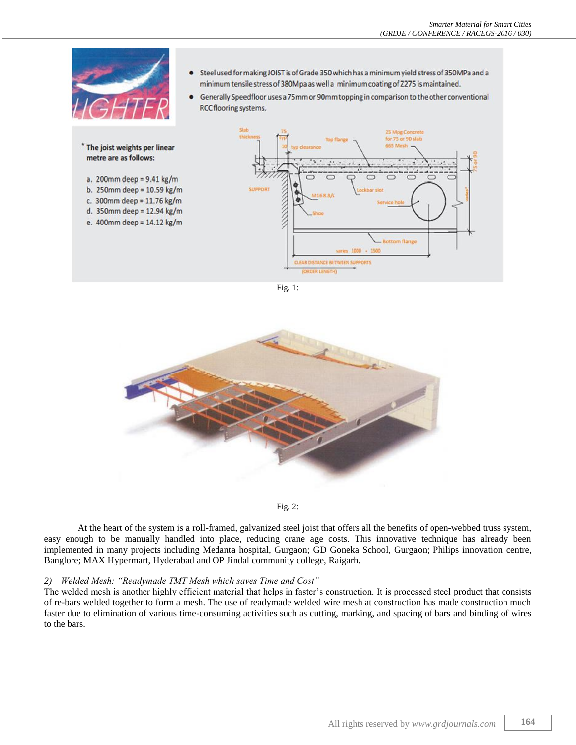

Fig. 1:



Fig. 2:

At the heart of the system is a roll-framed, galvanized steel joist that offers all the benefits of open-webbed truss system, easy enough to be manually handled into place, reducing crane age costs. This innovative technique has already been implemented in many projects including Medanta hospital, Gurgaon; GD Goneka School, Gurgaon; Philips innovation centre, Banglore; MAX Hypermart, Hyderabad and OP Jindal community college, Raigarh.

#### *2) Welded Mesh: "Readymade TMT Mesh which saves Time and Cost"*

The welded mesh is another highly efficient material that helps in faster's construction. It is processed steel product that consists of re-bars welded together to form a mesh. The use of readymade welded wire mesh at construction has made construction much faster due to elimination of various time-consuming activities such as cutting, marking, and spacing of bars and binding of wires to the bars.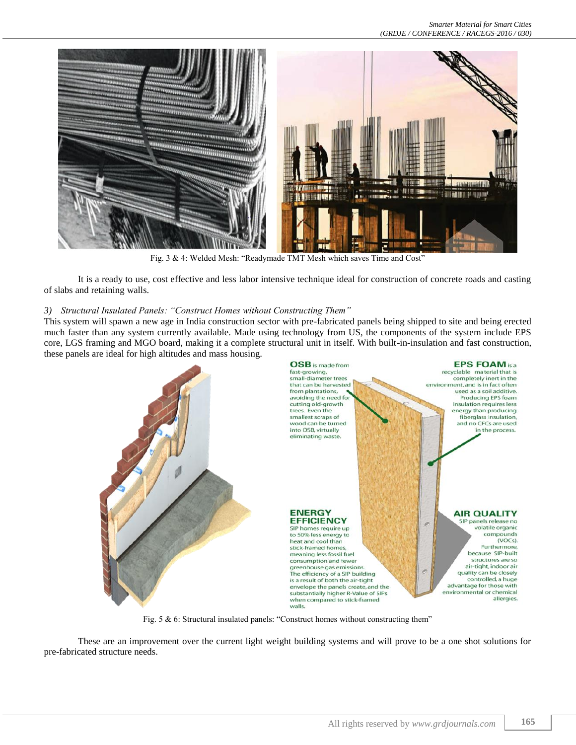

Fig. 3 & 4: Welded Mesh: "Readymade TMT Mesh which saves Time and Cost"

It is a ready to use, cost effective and less labor intensive technique ideal for construction of concrete roads and casting of slabs and retaining walls.

#### *3) Structural Insulated Panels: "Construct Homes without Constructing Them"*

This system will spawn a new age in India construction sector with pre-fabricated panels being shipped to site and being erected much faster than any system currently available. Made using technology from US, the components of the system include EPS core, LGS framing and MGO board, making it a complete structural unit in itself. With built-in-insulation and fast construction, these panels are ideal for high altitudes and mass housing.



Fig. 5 & 6: Structural insulated panels: "Construct homes without constructing them"

These are an improvement over the current light weight building systems and will prove to be a one shot solutions for pre-fabricated structure needs.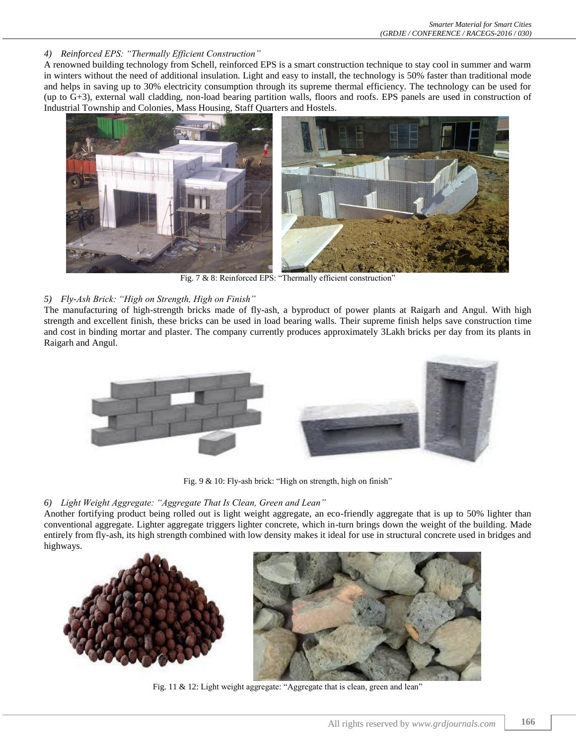*4) Reinforced EPS: "Thermally Efficient Construction"*

A renowned building technology from Schell, reinforced EPS is a smart construction technique to stay cool in summer and warm in winters without the need of additional insulation. Light and easy to install, the technology is 50% faster than traditional mode and helps in saving up to 30% electricity consumption through its supreme thermal efficiency. The technology can be used for (up to G+3), external wall cladding, non-load bearing partition walls, floors and roofs. EPS panels are used in construction of Industrial Township and Colonies, Mass Housing, Staff Quarters and Hostels.



Fig. 7 & 8: Reinforced EPS: "Thermally efficient construction"

## *5) Fly-Ash Brick: "High on Strength, High on Finish"*

The manufacturing of high-strength bricks made of fly-ash, a byproduct of power plants at Raigarh and Angul. With high strength and excellent finish, these bricks can be used in load bearing walls. Their supreme finish helps save construction time and cost in binding mortar and plaster. The company currently produces approximately 3Lakh bricks per day from its plants in Raigarh and Angul.



Fig. 9 & 10: Fly-ash brick: "High on strength, high on finish"

## *6) Light Weight Aggregate: "Aggregate That Is Clean, Green and Lean"*

Another fortifying product being rolled out is light weight aggregate, an eco-friendly aggregate that is up to 50% lighter than conventional aggregate. Lighter aggregate triggers lighter concrete, which in-turn brings down the weight of the building. Made entirely from fly-ash, its high strength combined with low density makes it ideal for use in structural concrete used in bridges and highways.



Fig. 11 & 12: Light weight aggregate: "Aggregate that is clean, green and lean"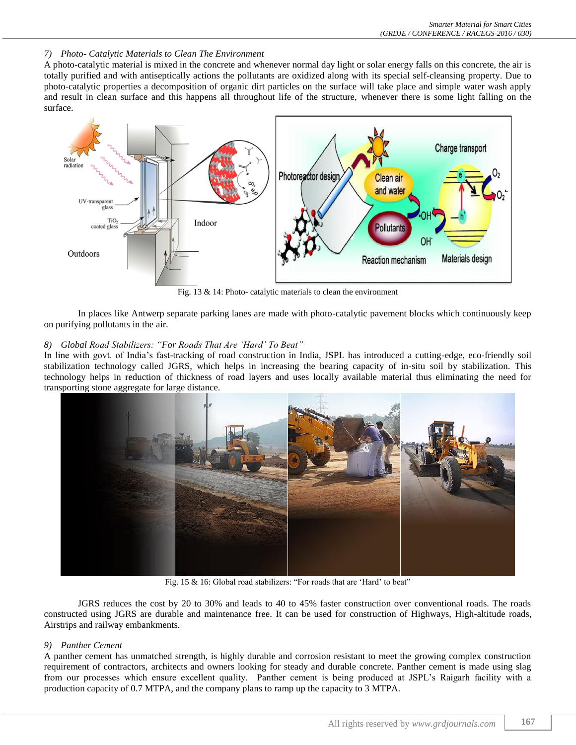#### *7) Photo- Catalytic Materials to Clean The Environment*

A photo-catalytic material is mixed in the concrete and whenever normal day light or solar energy falls on this concrete, the air is totally purified and with antiseptically actions the pollutants are oxidized along with its special self-cleansing property. Due to photo-catalytic properties a decomposition of organic dirt particles on the surface will take place and simple water wash apply and result in clean surface and this happens all throughout life of the structure, whenever there is some light falling on the surface.



Fig. 13 & 14: Photo- catalytic materials to clean the environment

In places like Antwerp separate parking lanes are made with photo-catalytic pavement blocks which continuously keep on purifying pollutants in the air.

### *8) Global Road Stabilizers: "For Roads That Are 'Hard' To Beat"*

In line with govt. of India's fast-tracking of road construction in India, JSPL has introduced a cutting-edge, eco-friendly soil stabilization technology called JGRS, which helps in increasing the bearing capacity of in-situ soil by stabilization. This technology helps in reduction of thickness of road layers and uses locally available material thus eliminating the need for transporting stone aggregate for large distance.



Fig. 15 & 16: Global road stabilizers: "For roads that are 'Hard' to beat"

JGRS reduces the cost by 20 to 30% and leads to 40 to 45% faster construction over conventional roads. The roads constructed using JGRS are durable and maintenance free. It can be used for construction of Highways, High-altitude roads, Airstrips and railway embankments.

#### *9) Panther Cement*

A panther cement has unmatched strength, is highly durable and corrosion resistant to meet the growing complex construction requirement of contractors, architects and owners looking for steady and durable concrete. Panther cement is made using slag from our processes which ensure excellent quality. Panther cement is being produced at JSPL's Raigarh facility with a production capacity of 0.7 MTPA, and the company plans to ramp up the capacity to 3 MTPA.